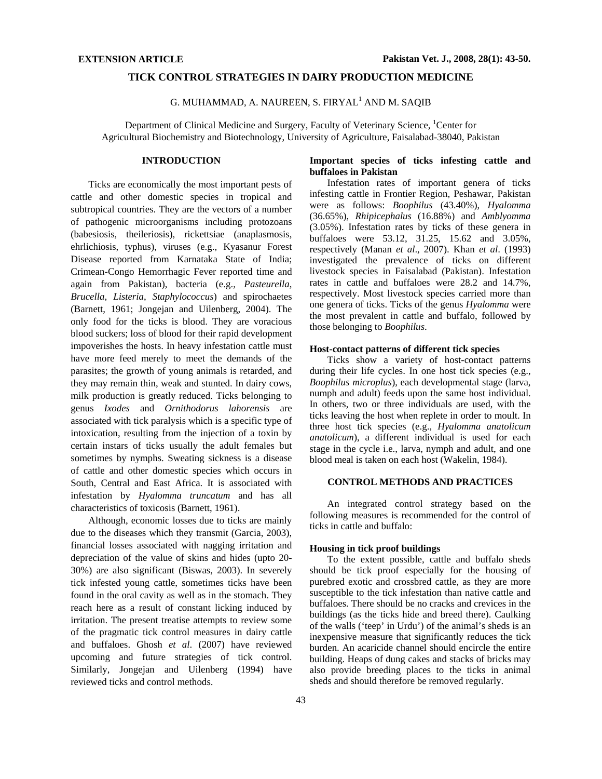# **TICK CONTROL STRATEGIES IN DAIRY PRODUCTION MEDICINE**

G. MUHAMMAD, A. NAUREEN, S. FIRYAL<sup>1</sup> AND M. SAQIB

Department of Clinical Medicine and Surgery, Faculty of Veterinary Science, <sup>1</sup>Center for Agricultural Biochemistry and Biotechnology, University of Agriculture, Faisalabad-38040, Pakistan

# **INTRODUCTION**

Ticks are economically the most important pests of cattle and other domestic species in tropical and subtropical countries. They are the vectors of a number of pathogenic microorganisms including protozoans (babesiosis, theileriosis), rickettsiae (anaplasmosis, ehrlichiosis, typhus), viruses (e.g., Kyasanur Forest Disease reported from Karnataka State of India; Crimean-Congo Hemorrhagic Fever reported time and again from Pakistan), bacteria (e.g., *Pasteurella*, *Brucella*, *Listeria*, *Staphylococcus*) and spirochaetes (Barnett, 1961; Jongejan and Uilenberg, 2004). The only food for the ticks is blood. They are voracious blood suckers; loss of blood for their rapid development impoverishes the hosts. In heavy infestation cattle must have more feed merely to meet the demands of the parasites; the growth of young animals is retarded, and they may remain thin, weak and stunted. In dairy cows, milk production is greatly reduced. Ticks belonging to genus *Ixodes* and *Ornithodorus lahorensis* are associated with tick paralysis which is a specific type of intoxication, resulting from the injection of a toxin by certain instars of ticks usually the adult females but sometimes by nymphs. Sweating sickness is a disease of cattle and other domestic species which occurs in South, Central and East Africa. It is associated with infestation by *Hyalomma truncatum* and has all characteristics of toxicosis (Barnett, 1961).

Although, economic losses due to ticks are mainly due to the diseases which they transmit (Garcia, 2003), financial losses associated with nagging irritation and depreciation of the value of skins and hides (upto 20- 30%) are also significant (Biswas, 2003). In severely tick infested young cattle, sometimes ticks have been found in the oral cavity as well as in the stomach. They reach here as a result of constant licking induced by irritation. The present treatise attempts to review some of the pragmatic tick control measures in dairy cattle and buffaloes. Ghosh *et al*. (2007) have reviewed upcoming and future strategies of tick control. Similarly, Jongejan and Uilenberg (1994) have reviewed ticks and control methods.

# **Important species of ticks infesting cattle and buffaloes in Pakistan**

Infestation rates of important genera of ticks infesting cattle in Frontier Region, Peshawar, Pakistan were as follows: *Boophilus* (43.40%), *Hyalomma*  (36.65%), *Rhipicephalus* (16.88%) and *Amblyomma*  (3.05%). Infestation rates by ticks of these genera in buffaloes were 53.12, 31.25, 15.62 and 3.05%, respectively (Manan *et al*., 2007). Khan *et al*. (1993) investigated the prevalence of ticks on different livestock species in Faisalabad (Pakistan). Infestation rates in cattle and buffaloes were 28.2 and 14.7%, respectively. Most livestock species carried more than one genera of ticks. Ticks of the genus *Hyalomma* were the most prevalent in cattle and buffalo, followed by those belonging to *Boophilus*.

## **Host-contact patterns of different tick species**

Ticks show a variety of host-contact patterns during their life cycles. In one host tick species (e.g., *Boophilus microplus*), each developmental stage (larva, numph and adult) feeds upon the same host individual. In others, two or three individuals are used, with the ticks leaving the host when replete in order to moult. In three host tick species (e.g., *Hyalomma anatolicum anatolicum*), a different individual is used for each stage in the cycle i.e., larva, nymph and adult, and one blood meal is taken on each host (Wakelin, 1984).

# **CONTROL METHODS AND PRACTICES**

An integrated control strategy based on the following measures is recommended for the control of ticks in cattle and buffalo:

#### **Housing in tick proof buildings**

To the extent possible, cattle and buffalo sheds should be tick proof especially for the housing of purebred exotic and crossbred cattle, as they are more susceptible to the tick infestation than native cattle and buffaloes. There should be no cracks and crevices in the buildings (as the ticks hide and breed there). Caulking of the walls ('teep' in Urdu') of the animal's sheds is an inexpensive measure that significantly reduces the tick burden. An acaricide channel should encircle the entire building. Heaps of dung cakes and stacks of bricks may also provide breeding places to the ticks in animal sheds and should therefore be removed regularly.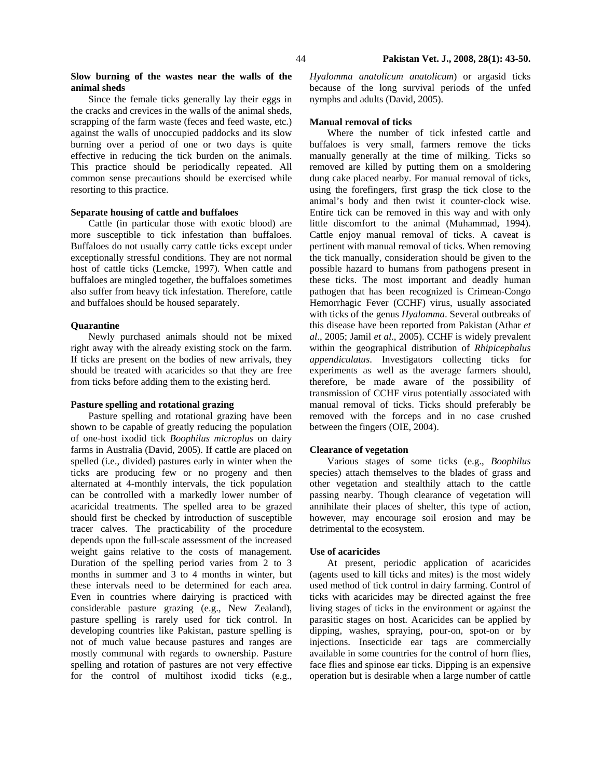## **Slow burning of the wastes near the walls of the animal sheds**

Since the female ticks generally lay their eggs in the cracks and crevices in the walls of the animal sheds, scrapping of the farm waste (feces and feed waste, etc.) against the walls of unoccupied paddocks and its slow burning over a period of one or two days is quite effective in reducing the tick burden on the animals. This practice should be periodically repeated. All common sense precautions should be exercised while resorting to this practice.

## **Separate housing of cattle and buffaloes**

Cattle (in particular those with exotic blood) are more susceptible to tick infestation than buffaloes. Buffaloes do not usually carry cattle ticks except under exceptionally stressful conditions. They are not normal host of cattle ticks (Lemcke, 1997). When cattle and buffaloes are mingled together, the buffaloes sometimes also suffer from heavy tick infestation. Therefore, cattle and buffaloes should be housed separately.

### **Quarantine**

Newly purchased animals should not be mixed right away with the already existing stock on the farm. If ticks are present on the bodies of new arrivals, they should be treated with acaricides so that they are free from ticks before adding them to the existing herd.

## **Pasture spelling and rotational grazing**

Pasture spelling and rotational grazing have been shown to be capable of greatly reducing the population of one-host ixodid tick *Boophilus microplus* on dairy farms in Australia (David, 2005). If cattle are placed on spelled (i.e., divided) pastures early in winter when the ticks are producing few or no progeny and then alternated at 4-monthly intervals, the tick population can be controlled with a markedly lower number of acaricidal treatments. The spelled area to be grazed should first be checked by introduction of susceptible tracer calves. The practicability of the procedure depends upon the full-scale assessment of the increased weight gains relative to the costs of management. Duration of the spelling period varies from 2 to 3 months in summer and 3 to 4 months in winter, but these intervals need to be determined for each area. Even in countries where dairying is practiced with considerable pasture grazing (e.g., New Zealand), pasture spelling is rarely used for tick control. In developing countries like Pakistan, pasture spelling is not of much value because pastures and ranges are mostly communal with regards to ownership. Pasture spelling and rotation of pastures are not very effective for the control of multihost ixodid ticks (e.g.,

*Hyalomma anatolicum anatolicum*) or argasid ticks because of the long survival periods of the unfed nymphs and adults (David, 2005).

#### **Manual removal of ticks**

Where the number of tick infested cattle and buffaloes is very small, farmers remove the ticks manually generally at the time of milking. Ticks so removed are killed by putting them on a smoldering dung cake placed nearby. For manual removal of ticks, using the forefingers, first grasp the tick close to the animal's body and then twist it counter-clock wise. Entire tick can be removed in this way and with only little discomfort to the animal (Muhammad, 1994). Cattle enjoy manual removal of ticks. A caveat is pertinent with manual removal of ticks. When removing the tick manually, consideration should be given to the possible hazard to humans from pathogens present in these ticks. The most important and deadly human pathogen that has been recognized is Crimean-Congo Hemorrhagic Fever (CCHF) virus, usually associated with ticks of the genus *Hyalomma*. Several outbreaks of this disease have been reported from Pakistan (Athar *et al*., 2005; Jamil *et al*., 2005). CCHF is widely prevalent within the geographical distribution of *Rhipicephalus appendiculatus*. Investigators collecting ticks for experiments as well as the average farmers should, therefore, be made aware of the possibility of transmission of CCHF virus potentially associated with manual removal of ticks. Ticks should preferably be removed with the forceps and in no case crushed between the fingers (OIE, 2004).

## **Clearance of vegetation**

Various stages of some ticks (e.g., *Boophilus* species) attach themselves to the blades of grass and other vegetation and stealthily attach to the cattle passing nearby. Though clearance of vegetation will annihilate their places of shelter, this type of action, however, may encourage soil erosion and may be detrimental to the ecosystem.

## **Use of acaricides**

At present, periodic application of acaricides (agents used to kill ticks and mites) is the most widely used method of tick control in dairy farming. Control of ticks with acaricides may be directed against the free living stages of ticks in the environment or against the parasitic stages on host. Acaricides can be applied by dipping, washes, spraying, pour-on, spot-on or by injections. Insecticide ear tags are commercially available in some countries for the control of horn flies, face flies and spinose ear ticks. Dipping is an expensive operation but is desirable when a large number of cattle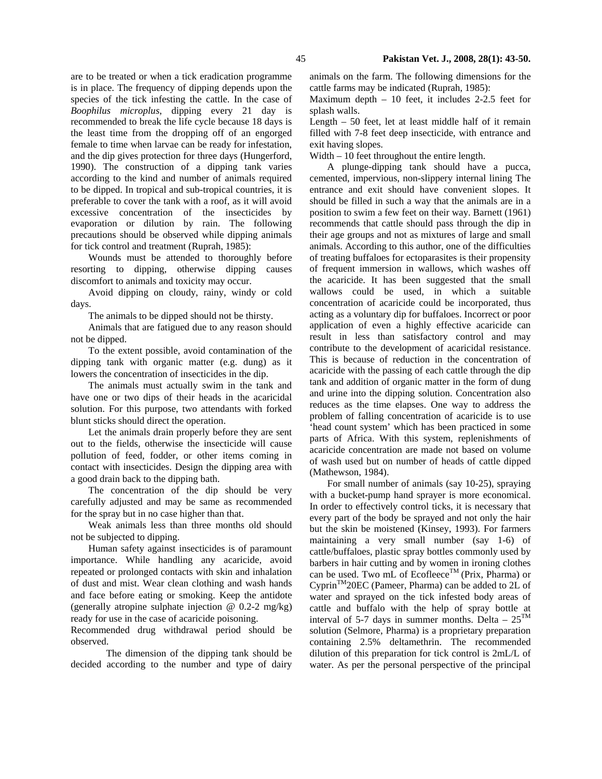are to be treated or when a tick eradication programme is in place. The frequency of dipping depends upon the species of the tick infesting the cattle. In the case of *Boophilus microplus*, dipping every 21 day is recommended to break the life cycle because 18 days is the least time from the dropping off of an engorged female to time when larvae can be ready for infestation, and the dip gives protection for three days (Hungerford, 1990). The construction of a dipping tank varies according to the kind and number of animals required to be dipped. In tropical and sub-tropical countries, it is preferable to cover the tank with a roof, as it will avoid excessive concentration of the insecticides by evaporation or dilution by rain. The following

precautions should be observed while dipping animals for tick control and treatment (Ruprah, 1985): Wounds must be attended to thoroughly before resorting to dipping, otherwise dipping causes discomfort to animals and toxicity may occur.

Avoid dipping on cloudy, rainy, windy or cold days.

The animals to be dipped should not be thirsty.

Animals that are fatigued due to any reason should not be dipped.

To the extent possible, avoid contamination of the dipping tank with organic matter (e.g. dung) as it lowers the concentration of insecticides in the dip.

The animals must actually swim in the tank and have one or two dips of their heads in the acaricidal solution. For this purpose, two attendants with forked blunt sticks should direct the operation.

Let the animals drain properly before they are sent out to the fields, otherwise the insecticide will cause pollution of feed, fodder, or other items coming in contact with insecticides. Design the dipping area with a good drain back to the dipping bath.

The concentration of the dip should be very carefully adjusted and may be same as recommended for the spray but in no case higher than that.

Weak animals less than three months old should not be subjected to dipping.

Human safety against insecticides is of paramount importance. While handling any acaricide, avoid repeated or prolonged contacts with skin and inhalation of dust and mist. Wear clean clothing and wash hands and face before eating or smoking. Keep the antidote (generally atropine sulphate injection  $@$  0.2-2 mg/kg) ready for use in the case of acaricide poisoning.

Recommended drug withdrawal period should be observed.

The dimension of the dipping tank should be decided according to the number and type of dairy animals on the farm. The following dimensions for the cattle farms may be indicated (Ruprah, 1985):

Maximum depth – 10 feet, it includes 2-2.5 feet for splash walls.

Length – 50 feet, let at least middle half of it remain filled with 7-8 feet deep insecticide, with entrance and exit having slopes.

Width – 10 feet throughout the entire length.

A plunge-dipping tank should have a pucca, cemented, impervious, non-slippery internal lining The entrance and exit should have convenient slopes. It should be filled in such a way that the animals are in a position to swim a few feet on their way. Barnett (1961) recommends that cattle should pass through the dip in their age groups and not as mixtures of large and small animals. According to this author, one of the difficulties of treating buffaloes for ectoparasites is their propensity of frequent immersion in wallows, which washes off the acaricide. It has been suggested that the small wallows could be used, in which a suitable concentration of acaricide could be incorporated, thus acting as a voluntary dip for buffaloes. Incorrect or poor application of even a highly effective acaricide can result in less than satisfactory control and may contribute to the development of acaricidal resistance. This is because of reduction in the concentration of acaricide with the passing of each cattle through the dip tank and addition of organic matter in the form of dung and urine into the dipping solution. Concentration also reduces as the time elapses. One way to address the problem of falling concentration of acaricide is to use 'head count system' which has been practiced in some parts of Africa. With this system, replenishments of acaricide concentration are made not based on volume of wash used but on number of heads of cattle dipped (Mathewson, 1984).

For small number of animals (say 10-25), spraying with a bucket-pump hand sprayer is more economical. In order to effectively control ticks, it is necessary that every part of the body be sprayed and not only the hair but the skin be moistened (Kinsey, 1993). For farmers maintaining a very small number (say 1-6) of cattle/buffaloes, plastic spray bottles commonly used by barbers in hair cutting and by women in ironing clothes can be used. Two mL of Ecofleece<sup>TM</sup> (Prix, Pharma) or  $Cyprin<sup>TM</sup>20EC$  (Pameer, Pharma) can be added to 2L of water and sprayed on the tick infested body areas of cattle and buffalo with the help of spray bottle at interval of 5-7 days in summer months. Delta –  $25^{TM}$ solution (Selmore, Pharma) is a proprietary preparation containing 2.5% deltamethrin. The recommended dilution of this preparation for tick control is 2mL/L of water. As per the personal perspective of the principal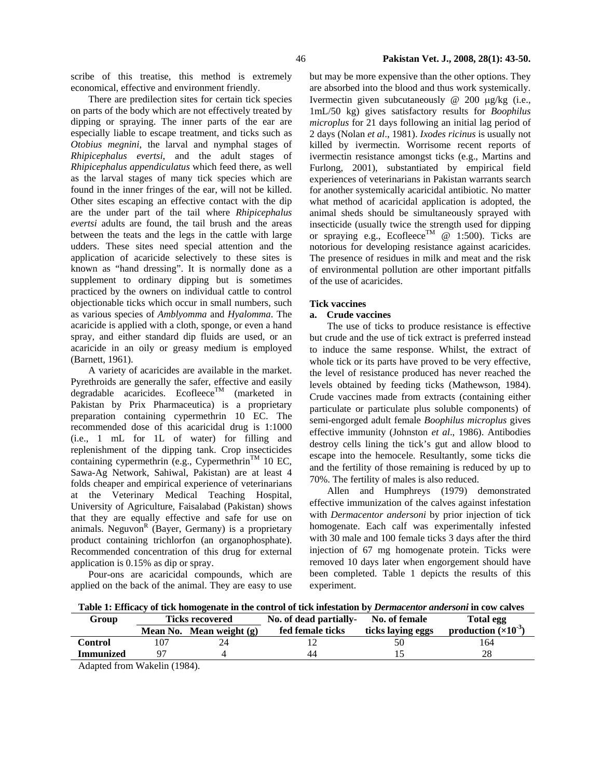scribe of this treatise, this method is extremely economical, effective and environment friendly.

There are predilection sites for certain tick species on parts of the body which are not effectively treated by dipping or spraying. The inner parts of the ear are especially liable to escape treatment, and ticks such as *Otobius megnini*, the larval and nymphal stages of *Rhipicephalus evertsi*, and the adult stages of *Rhipicephalus appendiculatus* which feed there, as well as the larval stages of many tick species which are found in the inner fringes of the ear, will not be killed. Other sites escaping an effective contact with the dip are the under part of the tail where *Rhipicephalus evertsi* adults are found, the tail brush and the areas between the teats and the legs in the cattle with large udders. These sites need special attention and the application of acaricide selectively to these sites is known as "hand dressing". It is normally done as a supplement to ordinary dipping but is sometimes practiced by the owners on individual cattle to control objectionable ticks which occur in small numbers, such as various species of *Amblyomma* and *Hyalomma*. The acaricide is applied with a cloth, sponge, or even a hand spray, and either standard dip fluids are used, or an acaricide in an oily or greasy medium is employed (Barnett, 1961).

A variety of acaricides are available in the market. Pyrethroids are generally the safer, effective and easily degradable acaricides. Ecofleece<sup>TM</sup> (marketed in Pakistan by Prix Pharmaceutica) is a proprietary preparation containing cypermethrin 10 EC. The recommended dose of this acaricidal drug is 1:1000 (i.e., 1 mL for 1L of water) for filling and replenishment of the dipping tank. Crop insecticides containing cypermethrin (e.g., Cypermethrin<sup>TM</sup> 10 EC, Sawa-Ag Network, Sahiwal, Pakistan) are at least 4 folds cheaper and empirical experience of veterinarians at the Veterinary Medical Teaching Hospital, University of Agriculture, Faisalabad (Pakistan) shows that they are equally effective and safe for use on animals. Neguvon<sup>R</sup> (Bayer, Germany) is a proprietary product containing trichlorfon (an organophosphate). Recommended concentration of this drug for external application is 0.15% as dip or spray.

Pour-ons are acaricidal compounds, which are applied on the back of the animal. They are easy to use but may be more expensive than the other options. They are absorbed into the blood and thus work systemically. Ivermectin given subcutaneously @ 200 µg/kg (i.e., 1mL/50 kg) gives satisfactory results for *Boophilus microplus* for 21 days following an initial lag period of 2 days (Nolan *et al*., 1981). *Ixodes ricinus* is usually not killed by ivermectin. Worrisome recent reports of ivermectin resistance amongst ticks (e.g., Martins and Furlong, 2001), substantiated by empirical field experiences of veterinarians in Pakistan warrants search for another systemically acaricidal antibiotic. No matter what method of acaricidal application is adopted, the animal sheds should be simultaneously sprayed with insecticide (usually twice the strength used for dipping or spraying e.g., Ecofleece<sup>TM</sup>  $\omega$  1:500). Ticks are notorious for developing resistance against acaricides. The presence of residues in milk and meat and the risk of environmental pollution are other important pitfalls of the use of acaricides.

## **Tick vaccines**

# **a. Crude vaccines**

The use of ticks to produce resistance is effective but crude and the use of tick extract is preferred instead to induce the same response. Whilst, the extract of whole tick or its parts have proved to be very effective, the level of resistance produced has never reached the levels obtained by feeding ticks (Mathewson, 1984). Crude vaccines made from extracts (containing either particulate or particulate plus soluble components) of semi-engorged adult female *Boophilus microplus* gives effective immunity (Johnston *et al*., 1986). Antibodies destroy cells lining the tick's gut and allow blood to escape into the hemocele. Resultantly, some ticks die and the fertility of those remaining is reduced by up to 70%. The fertility of males is also reduced.

Allen and Humphreys (1979) demonstrated effective immunization of the calves against infestation with *Dermacentor andersoni* by prior injection of tick homogenate. Each calf was experimentally infested with 30 male and 100 female ticks 3 days after the third injection of 67 mg homogenate protein. Ticks were removed 10 days later when engorgement should have been completed. Table 1 depicts the results of this experiment.

**Table 1: Efficacy of tick homogenate in the control of tick infestation by** *Dermacentor andersoni* **in cow calves** 

| Group            | <b>Ticks recovered</b> |                            | No. of dead partially- No. of female |                   | Total egg                     |
|------------------|------------------------|----------------------------|--------------------------------------|-------------------|-------------------------------|
|                  |                        | Mean No. Mean weight $(g)$ | fed female ticks                     | ticks laying eggs | production $(\times 10^{-3})$ |
| Control          |                        |                            |                                      |                   | 164                           |
| <b>Immunized</b> |                        |                            | 44                                   |                   |                               |

Adapted from Wakelin (1984).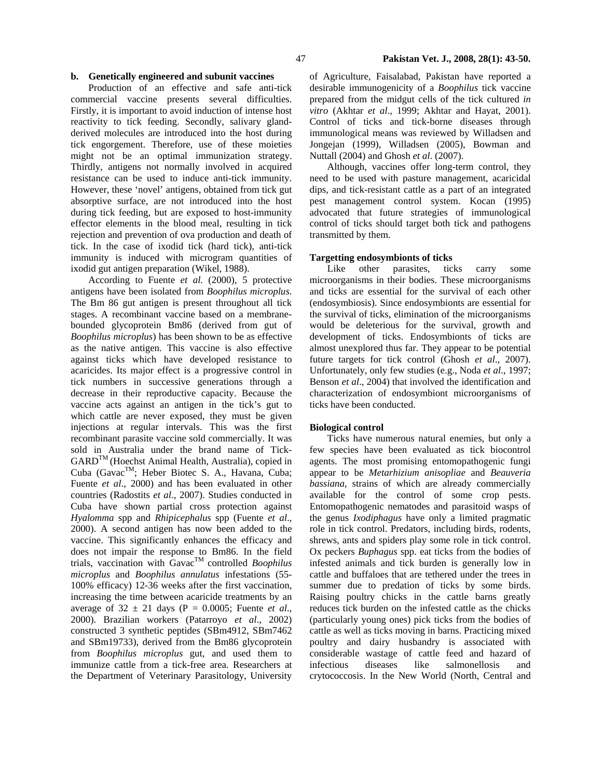#### **b. Genetically engineered and subunit vaccines**

Production of an effective and safe anti-tick commercial vaccine presents several difficulties. Firstly, it is important to avoid induction of intense host reactivity to tick feeding. Secondly, salivary glandderived molecules are introduced into the host during tick engorgement. Therefore, use of these moieties might not be an optimal immunization strategy. Thirdly, antigens not normally involved in acquired resistance can be used to induce anti-tick immunity. However, these 'novel' antigens, obtained from tick gut absorptive surface, are not introduced into the host during tick feeding, but are exposed to host-immunity effector elements in the blood meal, resulting in tick rejection and prevention of ova production and death of tick. In the case of ixodid tick (hard tick), anti-tick immunity is induced with microgram quantities of ixodid gut antigen preparation (Wikel, 1988).

According to Fuente *et al.* (2000), 5 protective antigens have been isolated from *Boophilus microplus*. The Bm 86 gut antigen is present throughout all tick stages. A recombinant vaccine based on a membranebounded glycoprotein Bm86 (derived from gut of *Boophilus microplus*) has been shown to be as effective as the native antigen. This vaccine is also effective against ticks which have developed resistance to acaricides. Its major effect is a progressive control in tick numbers in successive generations through a decrease in their reproductive capacity. Because the vaccine acts against an antigen in the tick's gut to which cattle are never exposed, they must be given injections at regular intervals. This was the first recombinant parasite vaccine sold commercially. It was sold in Australia under the brand name of Tick-GARDTM (Hoechst Animal Health, Australia), copied in Cuba (Gavac<sup>™</sup>; Heber Biotec S. A., Havana, Cuba; Fuente *et al*., 2000) and has been evaluated in other countries (Radostits *et al*., 2007). Studies conducted in Cuba have shown partial cross protection against *Hyalomma* spp and *Rhipicephalus* spp (Fuente *et al*., 2000). A second antigen has now been added to the vaccine. This significantly enhances the efficacy and does not impair the response to Bm86. In the field trials, vaccination with GavacTM controlled *Boophilus microplus* and *Boophilus annulatus* infestations (55- 100% efficacy) 12-36 weeks after the first vaccination, increasing the time between acaricide treatments by an average of  $32 \pm 21$  days (P = 0.0005; Fuente *et al.*, 2000). Brazilian workers (Patarroyo *et al*., 2002) constructed 3 synthetic peptides (SBm4912, SBm7462 and SBm19733), derived from the Bm86 glycoprotein from *Boophilus microplus* gut, and used them to immunize cattle from a tick-free area. Researchers at the Department of Veterinary Parasitology, University

of Agriculture, Faisalabad, Pakistan have reported a desirable immunogenicity of a *Boophilus* tick vaccine prepared from the midgut cells of the tick cultured *in vitro* (Akhtar *et al*., 1999; Akhtar and Hayat, 2001). Control of ticks and tick-borne diseases through immunological means was reviewed by Willadsen and Jongejan (1999), Willadsen (2005), Bowman and Nuttall (2004) and Ghosh *et al*. (2007).

Although, vaccines offer long-term control, they need to be used with pasture management, acaricidal dips, and tick-resistant cattle as a part of an integrated pest management control system. Kocan (1995) advocated that future strategies of immunological control of ticks should target both tick and pathogens transmitted by them.

### **Targetting endosymbionts of ticks**

Like other parasites, ticks carry some microorganisms in their bodies. These microorganisms and ticks are essential for the survival of each other (endosymbiosis). Since endosymbionts are essential for the survival of ticks, elimination of the microorganisms would be deleterious for the survival, growth and development of ticks. Endosymbionts of ticks are almost unexplored thus far. They appear to be potential future targets for tick control (Ghosh *et al*., 2007). Unfortunately, only few studies (e.g., Noda *et al*., 1997; Benson *et al*., 2004) that involved the identification and characterization of endosymbiont microorganisms of ticks have been conducted.

## **Biological control**

Ticks have numerous natural enemies, but only a few species have been evaluated as tick biocontrol agents. The most promising entomopathogenic fungi appear to be *Metarhizium anisopliae* and *Beauveria bassiana*, strains of which are already commercially available for the control of some crop pests. Entomopathogenic nematodes and parasitoid wasps of the genus *Ixodiphagus* have only a limited pragmatic role in tick control. Predators, including birds, rodents, shrews, ants and spiders play some role in tick control. Ox peckers *Buphagus* spp. eat ticks from the bodies of infested animals and tick burden is generally low in cattle and buffaloes that are tethered under the trees in summer due to predation of ticks by some birds. Raising poultry chicks in the cattle barns greatly reduces tick burden on the infested cattle as the chicks (particularly young ones) pick ticks from the bodies of cattle as well as ticks moving in barns. Practicing mixed poultry and dairy husbandry is associated with considerable wastage of cattle feed and hazard of infectious diseases like salmonellosis and crytococcosis. In the New World (North, Central and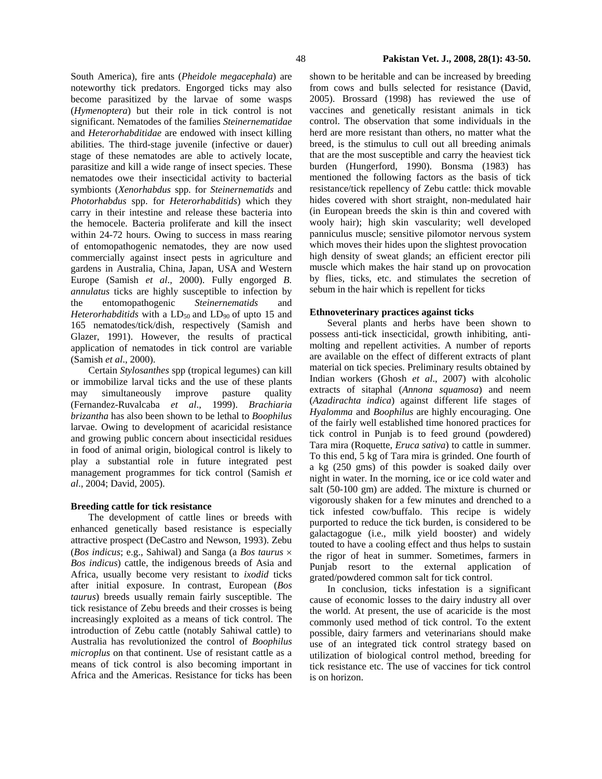South America), fire ants (*Pheidole megacephala*) are noteworthy tick predators. Engorged ticks may also become parasitized by the larvae of some wasps (*Hymenoptera*) but their role in tick control is not significant. Nematodes of the families *Steinernematidae* and *Heterorhabditidae* are endowed with insect killing abilities. The third-stage juvenile (infective or dauer) stage of these nematodes are able to actively locate, parasitize and kill a wide range of insect species. These nematodes owe their insecticidal activity to bacterial symbionts (*Xenorhabdus* spp. for *Steinernematids* and *Photorhabdus* spp. for *Heterorhabditids*) which they carry in their intestine and release these bacteria into the hemocele. Bacteria proliferate and kill the insect within 24-72 hours. Owing to success in mass rearing of entomopathogenic nematodes, they are now used commercially against insect pests in agriculture and gardens in Australia, China, Japan, USA and Western Europe (Samish *et al*., 2000). Fully engorged *B. annulatus* ticks are highly susceptible to infection by the entomopathogenic *Steinernematids* and *Heterorhabditids* with a  $LD_{50}$  and  $LD_{90}$  of upto 15 and 165 nematodes/tick/dish, respectively (Samish and Glazer, 1991). However, the results of practical

(Samish *et al*., 2000). Certain *Stylosanthes* spp (tropical legumes) can kill or immobilize larval ticks and the use of these plants may simultaneously improve pasture quality (Fernandez-Ruvalcaba *et al*., 1999). *Brachiaria brizantha* has also been shown to be lethal to *Boophilus* larvae. Owing to development of acaricidal resistance and growing public concern about insecticidal residues in food of animal origin, biological control is likely to play a substantial role in future integrated pest management programmes for tick control (Samish *et al*., 2004; David, 2005).

application of nematodes in tick control are variable

# **Breeding cattle for tick resistance**

The development of cattle lines or breeds with enhanced genetically based resistance is especially attractive prospect (DeCastro and Newson, 1993). Zebu (*Bos indicus*; e.g., Sahiwal) and Sanga (a *Bos taurus* × *Bos indicus*) cattle, the indigenous breeds of Asia and Africa, usually become very resistant to *ixodid* ticks after initial exposure. In contrast, European (*Bos taurus*) breeds usually remain fairly susceptible. The tick resistance of Zebu breeds and their crosses is being increasingly exploited as a means of tick control. The introduction of Zebu cattle (notably Sahiwal cattle) to Australia has revolutionized the control of *Boophilus microplus* on that continent. Use of resistant cattle as a means of tick control is also becoming important in Africa and the Americas. Resistance for ticks has been

shown to be heritable and can be increased by breeding from cows and bulls selected for resistance (David, 2005). Brossard (1998) has reviewed the use of vaccines and genetically resistant animals in tick control. The observation that some individuals in the herd are more resistant than others, no matter what the breed, is the stimulus to cull out all breeding animals that are the most susceptible and carry the heaviest tick burden (Hungerford, 1990). Bonsma (1983) has mentioned the following factors as the basis of tick resistance/tick repellency of Zebu cattle: thick movable hides covered with short straight, non-medulated hair (in European breeds the skin is thin and covered with wooly hair); high skin vascularity; well developed panniculus muscle; sensitive pilomotor nervous system which moves their hides upon the slightest provocation high density of sweat glands; an efficient erector pili muscle which makes the hair stand up on provocation by flies, ticks, etc. and stimulates the secretion of sebum in the hair which is repellent for ticks

### **Ethnoveterinary practices against ticks**

Several plants and herbs have been shown to possess anti-tick insecticidal, growth inhibiting, antimolting and repellent activities. A number of reports are available on the effect of different extracts of plant material on tick species. Preliminary results obtained by Indian workers (Ghosh *et al*., 2007) with alcoholic extracts of sitaphal (*Annona squamosa*) and neem (*Azadirachta indica*) against different life stages of *Hyalomma* and *Boophilus* are highly encouraging. One of the fairly well established time honored practices for tick control in Punjab is to feed ground (powdered) Tara mira (Roquette, *Eruca sativa*) to cattle in summer. To this end, 5 kg of Tara mira is grinded. One fourth of a kg (250 gms) of this powder is soaked daily over night in water. In the morning, ice or ice cold water and salt (50-100 gm) are added. The mixture is churned or vigorously shaken for a few minutes and drenched to a tick infested cow/buffalo. This recipe is widely purported to reduce the tick burden, is considered to be galactagogue (i.e., milk yield booster) and widely touted to have a cooling effect and thus helps to sustain the rigor of heat in summer. Sometimes, farmers in Punjab resort to the external application of grated/powdered common salt for tick control.

In conclusion, ticks infestation is a significant cause of economic losses to the dairy industry all over the world. At present, the use of acaricide is the most commonly used method of tick control. To the extent possible, dairy farmers and veterinarians should make use of an integrated tick control strategy based on utilization of biological control method, breeding for tick resistance etc. The use of vaccines for tick control is on horizon.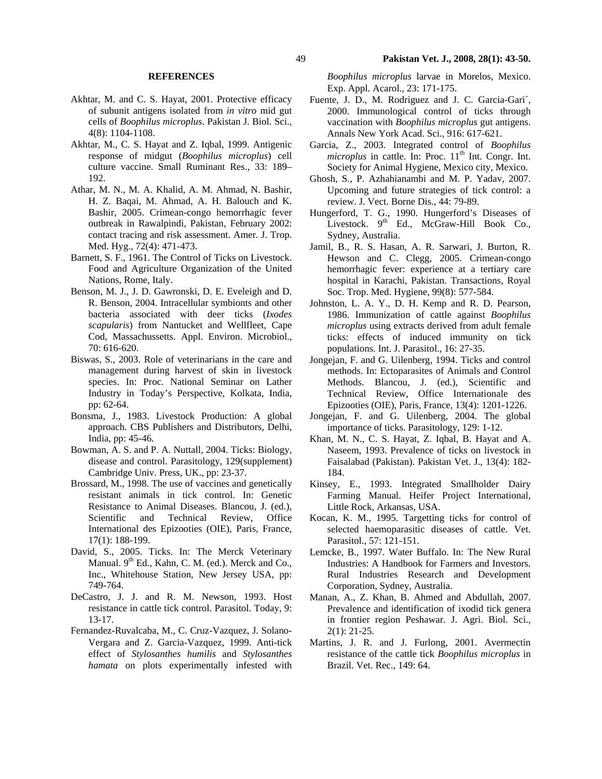### **REFERENCES**

- Akhtar, M. and C. S. Hayat, 2001. Protective efficacy of subunit antigens isolated from *in vitro* mid gut cells of *Boophilus microplus*. Pakistan J. Biol. Sci., 4(8): 1104-1108.
- Akhtar, M., C. S. Hayat and Z. Iqbal, 1999. Antigenic response of midgut (*Boophilus microplus*) cell culture vaccine. Small Ruminant Res., 33: 189– 192.
- Athar, M. N., M. A. Khalid, A. M. Ahmad, N. Bashir, H. Z. Baqai, M. Ahmad, A. H. Balouch and K. Bashir, 2005. Crimean-congo hemorrhagic fever outbreak in Rawalpindi, Pakistan, February 2002: contact tracing and risk assessment. Amer. J. Trop. Med. Hyg., 72(4): 471-473.
- Barnett, S. F., 1961. The Control of Ticks on Livestock. Food and Agriculture Organization of the United Nations, Rome, Italy.
- Benson, M. J., J. D. Gawronski, D. E. Eveleigh and D. R. Benson, 2004. Intracellular symbionts and other bacteria associated with deer ticks (*Ixodes scapularis*) from Nantucket and Wellfleet, Cape Cod, Massachussetts. Appl. Environ. Microbiol., 70: 616-620.
- Biswas, S., 2003. Role of veterinarians in the care and management during harvest of skin in livestock species. In: Proc. National Seminar on Lather Industry in Today's Perspective, Kolkata, India, pp: 62-64.
- Bonsma, J., 1983. Livestock Production: A global approach. CBS Publishers and Distributors, Delhi, India, pp: 45-46.
- Bowman, A. S. and P. A. Nuttall, 2004. Ticks: Biology, disease and control. Parasitology, 129(supplement) Cambridge Univ. Press, UK., pp: 23-37.
- Brossard, M., 1998. The use of vaccines and genetically resistant animals in tick control. In: Genetic Resistance to Animal Diseases. Blancou, J. (ed.), Scientific and Technical Review, Office International des Epizooties (OIE), Paris, France, 17(1): 188-199.
- David, S., 2005. Ticks. In: The Merck Veterinary Manual.  $9<sup>th</sup>$  Ed., Kahn, C. M. (ed.). Merck and Co., Inc., Whitehouse Station, New Jersey USA, pp: 749-764.
- DeCastro, J. J. and R. M. Newson, 1993. Host resistance in cattle tick control. Parasitol. Today, 9: 13-17.
- Fernandez-Ruvalcaba, M., C. Cruz-Vazquez, J. Solano-Vergara and Z. Garcia-Vazquez, 1999. Anti-tick effect of *Stylosanthes humilis* and *Stylosanthes hamata* on plots experimentally infested with

*Boophilus microplus* larvae in Morelos, Mexico. Exp. Appl. Acarol., 23: 171-175.

- Fuente, J. D., M. Rodriguez and J. C. Garcia-Gari´, 2000. Immunological control of ticks through vaccination with *Boophilus microplus* gut antigens. Annals New York Acad. Sci., 916: 617-621.
- Garcia, Z., 2003. Integrated control of *Boophilus microplus* in cattle. In: Proc. 11<sup>th</sup> Int. Congr. Int. Society for Animal Hygiene, Mexico city, Mexico.
- Ghosh, S., P. Azhahianambi and M. P. Yadav, 2007. Upcoming and future strategies of tick control: a review. J. Vect. Borne Dis., 44: 79-89.
- Hungerford, T. G., 1990. Hungerford's Diseases of Livestock. 9<sup>th</sup> Ed., McGraw-Hill Book Co., Sydney, Australia.
- Jamil, B., R. S. Hasan, A. R. Sarwari, J. Burton, R. Hewson and C. Clegg, 2005. Crimean-congo hemorrhagic fever: experience at a tertiary care hospital in Karachi, Pakistan. Transactions, Royal Soc. Trop. Med. Hygiene, 99(8): 577-584.
- Johnston, L. A. Y., D. H. Kemp and R. D. Pearson, 1986. Immunization of cattle against *Boophilus microplus* using extracts derived from adult female ticks: effects of induced immunity on tick populations. Int. J. Parasitol., 16: 27-35.
- Jongejan, F. and G. Uilenberg, 1994. Ticks and control methods. In: Ectoparasites of Animals and Control Methods. Blancou, J. (ed.), Scientific and Technical Review, Office Internationale des Epizooties (OIE), Paris, France, 13(4): 1201-1226.
- Jongejan, F. and G. Uilenberg, 2004. The global importance of ticks. Parasitology, 129: 1-12.
- Khan, M. N., C. S. Hayat, Z. Iqbal, B. Hayat and A. Naseem, 1993. Prevalence of ticks on livestock in Faisalabad (Pakistan). Pakistan Vet. J., 13(4): 182- 184.
- Kinsey, E., 1993. Integrated Smallholder Dairy Farming Manual. Heifer Project International, Little Rock, Arkansas, USA.
- Kocan, K. M., 1995. Targetting ticks for control of selected haemoparasitic diseases of cattle. Vet. Parasitol., 57: 121-151.
- Lemcke, B., 1997. Water Buffalo. In: The New Rural Industries: A Handbook for Farmers and Investors. Rural Industries Research and Development Corporation, Sydney, Australia.
- Manan, A., Z. Khan, B. Ahmed and Abdullah, 2007. Prevalence and identification of ixodid tick genera in frontier region Peshawar. J. Agri. Biol. Sci., 2(1): 21-25.
- Martins, J. R. and J. Furlong, 2001. Avermectin resistance of the cattle tick *Boophilus microplus* in Brazil. Vet. Rec., 149: 64.